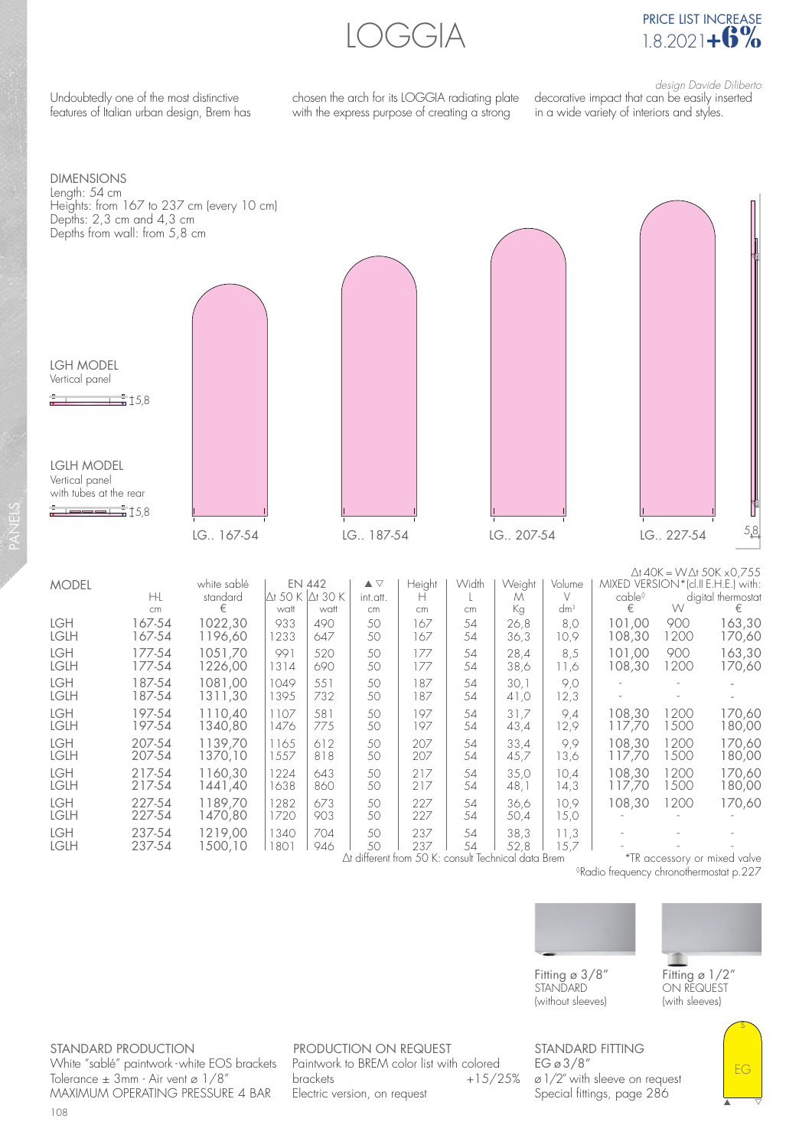LOGGIA



Undoubtedly one of the most distinctive features of Italian urban design, Brem has chosen the arch for its LOGGIA radiating plate with the express purpose of creating a strong

desian Davide Diliberto decorative impact that can be easily inserted in a wide variety of interiors and styles.



◊Radio frequency chronothermostat p.227



Fitting  $\sigma$  3/8" **STANDARD** (without sleeves)



s

EG

▲ △

Fitting ø 1/2" ON REQUEST (with sleeves)

STANDARD PRODUCTION White "sablé" paintwork - white EOS brackets Tolerance  $\pm$  3mm - Air vent ø 1/8" MAXIMUM OPERATING PRESSURE 4 BAR

PRODUCTION ON REQUEST Paintwork to BREM color list with colored  $brackets +15/25%$ Electric version, on request

STANDARD FITTING EG ø 3/8" ø 1/2" with sleeve on request Special fittings, page 286

108

PANELS